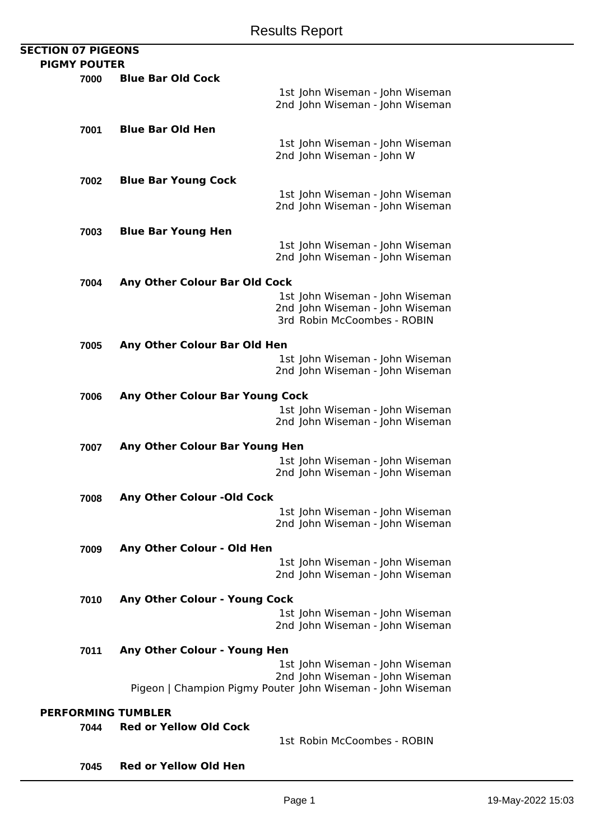## **SECTION 07 PIGEONS PIGMY POUTER**

| <b>PIGMY POUTER</b> |      |                                     |                                                                    |
|---------------------|------|-------------------------------------|--------------------------------------------------------------------|
|                     | 7000 | <b>Blue Bar Old Cock</b>            |                                                                    |
|                     |      |                                     | 1st John Wiseman - John Wiseman<br>2nd John Wiseman - John Wiseman |
|                     | 7001 | <b>Blue Bar Old Hen</b>             |                                                                    |
|                     |      |                                     | 1st John Wiseman - John Wiseman<br>2nd John Wiseman - John W       |
|                     | 7002 | <b>Blue Bar Young Cock</b>          |                                                                    |
|                     |      |                                     | 1st John Wiseman - John Wiseman<br>2nd John Wiseman - John Wiseman |
|                     | 7003 | <b>Blue Bar Young Hen</b>           |                                                                    |
|                     |      |                                     | 1st John Wiseman - John Wiseman<br>2nd John Wiseman - John Wiseman |
|                     | 7004 | Any Other Colour Bar Old Cock       |                                                                    |
|                     |      |                                     | 1st John Wiseman - John Wiseman                                    |
|                     |      |                                     | 2nd John Wiseman - John Wiseman                                    |
|                     |      |                                     | 3rd Robin McCoombes - ROBIN                                        |
|                     | 7005 | <b>Any Other Colour Bar Old Hen</b> |                                                                    |
|                     |      |                                     | 1st John Wiseman - John Wiseman                                    |
|                     |      |                                     | 2nd John Wiseman - John Wiseman                                    |
|                     | 7006 | Any Other Colour Bar Young Cock     |                                                                    |
|                     |      |                                     | 1st John Wiseman - John Wiseman                                    |
|                     |      |                                     | 2nd John Wiseman - John Wiseman                                    |
|                     | 7007 | Any Other Colour Bar Young Hen      |                                                                    |
|                     |      |                                     | 1st John Wiseman - John Wiseman                                    |
|                     |      |                                     | 2nd John Wiseman - John Wiseman                                    |
|                     | 7008 | Any Other Colour - Old Cock         |                                                                    |
|                     |      |                                     | 1st John Wiseman - John Wiseman                                    |
|                     |      |                                     | 2nd John Wiseman - John Wiseman                                    |
|                     | 7009 | Any Other Colour - Old Hen          |                                                                    |
|                     |      |                                     | 1st John Wiseman - John Wiseman                                    |
|                     |      |                                     | 2nd John Wiseman - John Wiseman                                    |
|                     | 7010 | Any Other Colour - Young Cock       |                                                                    |
|                     |      |                                     | 1st John Wiseman - John Wiseman                                    |
|                     |      |                                     | 2nd John Wiseman - John Wiseman                                    |
|                     | 7011 | Any Other Colour - Young Hen        |                                                                    |
|                     |      |                                     | 1st John Wiseman - John Wiseman                                    |
|                     |      |                                     | 2nd John Wiseman - John Wiseman                                    |
|                     |      |                                     | Pigeon   Champion Pigmy Pouter John Wiseman - John Wiseman         |
|                     |      | <b>PERFORMING TUMBLER</b>           |                                                                    |
|                     | 7044 | <b>Red or Yellow Old Cock</b>       |                                                                    |
|                     |      |                                     | 1st Robin McCoombes - ROBIN                                        |
|                     | 7045 | <b>Red or Yellow Old Hen</b>        |                                                                    |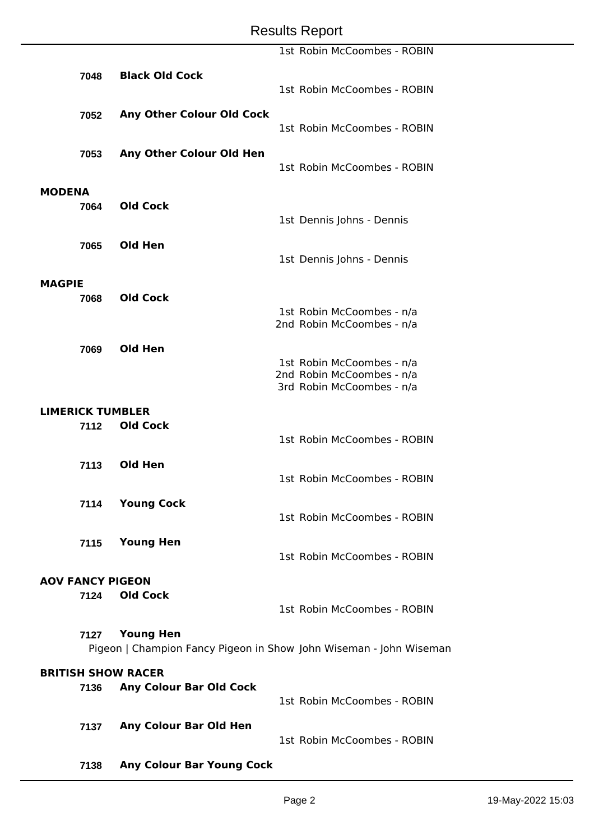## Results Report

|                           |                         |                                                                                        |  | 1st Robin McCoombes - ROBIN                            |  |
|---------------------------|-------------------------|----------------------------------------------------------------------------------------|--|--------------------------------------------------------|--|
|                           | 7048                    | <b>Black Old Cock</b>                                                                  |  |                                                        |  |
|                           |                         |                                                                                        |  | 1st Robin McCoombes - ROBIN                            |  |
|                           | 7052                    | <b>Any Other Colour Old Cock</b>                                                       |  |                                                        |  |
|                           |                         |                                                                                        |  | 1st Robin McCoombes - ROBIN                            |  |
|                           | 7053                    | Any Other Colour Old Hen                                                               |  |                                                        |  |
|                           |                         |                                                                                        |  | 1st Robin McCoombes - ROBIN                            |  |
| <b>MODENA</b>             |                         |                                                                                        |  |                                                        |  |
|                           | 7064                    | <b>Old Cock</b>                                                                        |  |                                                        |  |
|                           |                         |                                                                                        |  | 1st Dennis Johns - Dennis                              |  |
|                           | 7065                    | Old Hen                                                                                |  |                                                        |  |
|                           |                         |                                                                                        |  | 1st Dennis Johns - Dennis                              |  |
| <b>MAGPIE</b>             |                         |                                                                                        |  |                                                        |  |
|                           | 7068                    | <b>Old Cock</b>                                                                        |  |                                                        |  |
|                           |                         |                                                                                        |  | 1st Robin McCoombes - n/a<br>2nd Robin McCoombes - n/a |  |
|                           |                         |                                                                                        |  |                                                        |  |
|                           | 7069                    | <b>Old Hen</b>                                                                         |  | 1st Robin McCoombes - n/a                              |  |
|                           |                         |                                                                                        |  | 2nd Robin McCoombes - n/a                              |  |
|                           |                         |                                                                                        |  | 3rd Robin McCoombes - n/a                              |  |
|                           | <b>LIMERICK TUMBLER</b> |                                                                                        |  |                                                        |  |
|                           | 7112                    | <b>Old Cock</b>                                                                        |  | 1st Robin McCoombes - ROBIN                            |  |
|                           |                         |                                                                                        |  |                                                        |  |
|                           | 7113                    | Old Hen                                                                                |  | 1st Robin McCoombes - ROBIN                            |  |
|                           |                         |                                                                                        |  |                                                        |  |
|                           | 7114                    | <b>Young Cock</b>                                                                      |  | 1st Robin McCoombes - ROBIN                            |  |
|                           |                         |                                                                                        |  |                                                        |  |
|                           | 7115                    | <b>Young Hen</b>                                                                       |  | 1st Robin McCoombes - ROBIN                            |  |
|                           |                         |                                                                                        |  |                                                        |  |
| <b>AOV FANCY PIGEON</b>   |                         |                                                                                        |  |                                                        |  |
|                           | 7124                    | <b>Old Cock</b>                                                                        |  | 1st Robin McCoombes - ROBIN                            |  |
|                           |                         |                                                                                        |  |                                                        |  |
|                           | 7127                    | <b>Young Hen</b><br>Pigeon   Champion Fancy Pigeon in Show John Wiseman - John Wiseman |  |                                                        |  |
| <b>BRITISH SHOW RACER</b> |                         |                                                                                        |  |                                                        |  |
|                           | 7136                    | <b>Any Colour Bar Old Cock</b>                                                         |  |                                                        |  |
|                           |                         |                                                                                        |  | 1st Robin McCoombes - ROBIN                            |  |
|                           | 7137                    | <b>Any Colour Bar Old Hen</b>                                                          |  |                                                        |  |
|                           |                         |                                                                                        |  | 1st Robin McCoombes - ROBIN                            |  |
|                           | 7138                    | <b>Any Colour Bar Young Cock</b>                                                       |  |                                                        |  |
|                           |                         |                                                                                        |  |                                                        |  |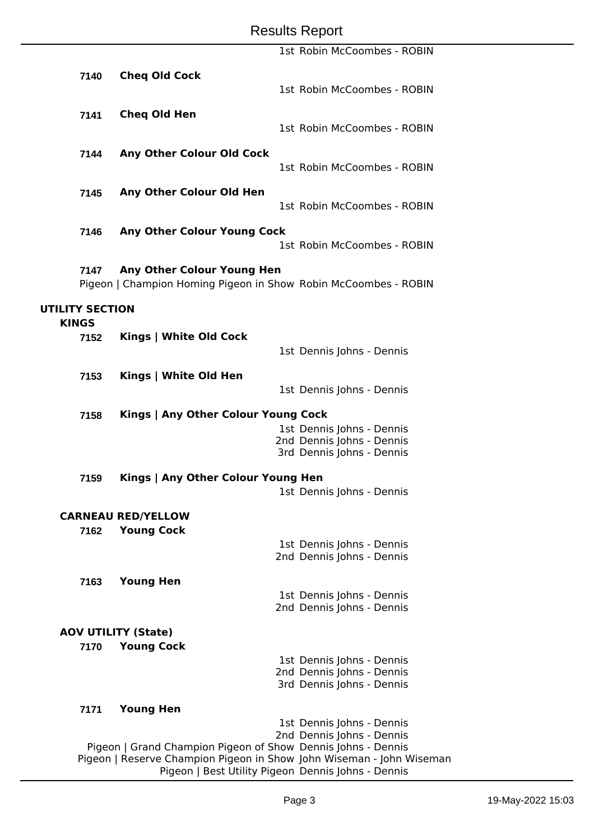|                        |                                                                 | 1st Robin McCoombes - ROBIN                        |
|------------------------|-----------------------------------------------------------------|----------------------------------------------------|
|                        |                                                                 |                                                    |
| 7140                   | <b>Cheq Old Cock</b>                                            |                                                    |
|                        |                                                                 | 1st Robin McCoombes - ROBIN                        |
|                        |                                                                 |                                                    |
| 7141                   | <b>Cheq Old Hen</b>                                             |                                                    |
|                        |                                                                 | 1st Robin McCoombes - ROBIN                        |
|                        |                                                                 |                                                    |
| 7144                   | Any Other Colour Old Cock                                       |                                                    |
|                        |                                                                 | 1st Robin McCoombes - ROBIN                        |
| 7145                   | Any Other Colour Old Hen                                        |                                                    |
|                        |                                                                 | 1st Robin McCoombes - ROBIN                        |
|                        |                                                                 |                                                    |
| 7146                   | <b>Any Other Colour Young Cock</b>                              |                                                    |
|                        |                                                                 | 1st Robin McCoombes - ROBIN                        |
|                        |                                                                 |                                                    |
| 7147                   | Any Other Colour Young Hen                                      |                                                    |
|                        | Pigeon   Champion Homing Pigeon in Show Robin McCoombes - ROBIN |                                                    |
|                        |                                                                 |                                                    |
| <b>UTILITY SECTION</b> |                                                                 |                                                    |
| <b>KINGS</b>           |                                                                 |                                                    |
| 7152                   | Kings   White Old Cock                                          |                                                    |
|                        |                                                                 | 1st Dennis Johns - Dennis                          |
|                        |                                                                 |                                                    |
| 7153                   | Kings   White Old Hen                                           |                                                    |
|                        |                                                                 | 1st Dennis Johns - Dennis                          |
| 7158                   | Kings   Any Other Colour Young Cock                             |                                                    |
|                        |                                                                 | 1st Dennis Johns - Dennis                          |
|                        |                                                                 | 2nd Dennis Johns - Dennis                          |
|                        |                                                                 | 3rd Dennis Johns - Dennis                          |
|                        |                                                                 |                                                    |
| 7159                   | Kings   Any Other Colour Young Hen                              |                                                    |
|                        |                                                                 | 1st Dennis Johns - Dennis                          |
|                        |                                                                 |                                                    |
|                        | <b>CARNEAU RED/YELLOW</b>                                       |                                                    |
| 7162                   | <b>Young Cock</b>                                               |                                                    |
|                        |                                                                 | 1st Dennis Johns - Dennis                          |
|                        |                                                                 | 2nd Dennis Johns - Dennis                          |
| 7163                   | <b>Young Hen</b>                                                |                                                    |
|                        |                                                                 | 1st Dennis Johns - Dennis                          |
|                        |                                                                 | 2nd Dennis Johns - Dennis                          |
|                        |                                                                 |                                                    |
|                        | <b>AOV UTILITY (State)</b>                                      |                                                    |
|                        | 7170 Young Cock                                                 |                                                    |
|                        |                                                                 | 1st Dennis Johns - Dennis                          |
|                        |                                                                 | 2nd Dennis Johns - Dennis                          |
|                        |                                                                 | 3rd Dennis Johns - Dennis                          |
| 7171                   | <b>Young Hen</b>                                                |                                                    |
|                        |                                                                 | 1st Dennis Johns - Dennis                          |
|                        |                                                                 | 2nd Dennis Johns - Dennis                          |
|                        | Pigeon   Grand Champion Pigeon of Show Dennis Johns - Dennis    |                                                    |
|                        | are Champion Digeon in Show John Wic                            | $\sim$ n $\sim$ $\sim$ $\sim$ $\sim$ $\sim$ $\sim$ |

Pigeon | Reserve Champion Pigeon in Show John Wiseman - John Wiseman Pigeon | Best Utility Pigeon Dennis Johns - Dennis